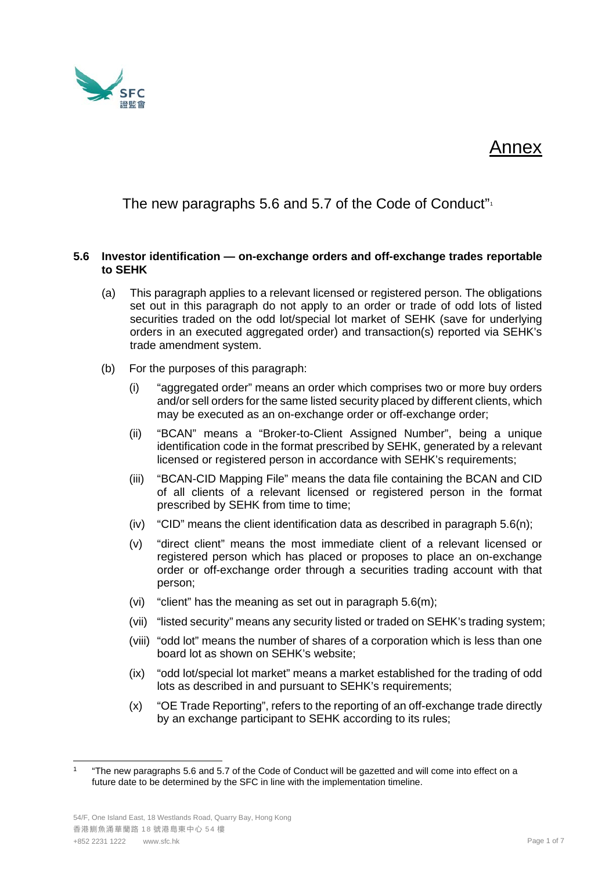

## Annex

The new paragraphs 5.6 and 5.7 of the Code of Conduct"<sup>[1](#page-0-0)</sup>

## **5.6 Investor identification — on-exchange orders and off-exchange trades reportable to SEHK**

- (a) This paragraph applies to a relevant licensed or registered person. The obligations set out in this paragraph do not apply to an order or trade of odd lots of listed securities traded on the odd lot/special lot market of SEHK (save for underlying orders in an executed aggregated order) and transaction(s) reported via SEHK's trade amendment system.
- (b) For the purposes of this paragraph:
	- (i) "aggregated order" means an order which comprises two or more buy orders and/or sell orders for the same listed security placed by different clients, which may be executed as an on-exchange order or off-exchange order;
	- (ii) "BCAN" means a "Broker-to-Client Assigned Number", being a unique identification code in the format prescribed by SEHK, generated by a relevant licensed or registered person in accordance with SEHK's requirements;
	- (iii) "BCAN-CID Mapping File" means the data file containing the BCAN and CID of all clients of a relevant licensed or registered person in the format prescribed by SEHK from time to time;
	- (iv) "CID" means the client identification data as described in paragraph  $5.6(n)$ ;
	- (v) "direct client" means the most immediate client of a relevant licensed or registered person which has placed or proposes to place an on-exchange order or off-exchange order through a securities trading account with that person;
	- (vi) "client" has the meaning as set out in paragraph 5.6(m);
	- (vii) "listed security" means any security listed or traded on SEHK's trading system;
	- (viii) "odd lot" means the number of shares of a corporation which is less than one board lot as shown on SEHK's website;
	- (ix) "odd lot/special lot market" means a market established for the trading of odd lots as described in and pursuant to SEHK's requirements;
	- (x) "OE Trade Reporting", refers to the reporting of an off-exchange trade directly by an exchange participant to SEHK according to its rules;

<span id="page-0-0"></span><sup>1</sup> "The new paragraphs 5.6 and 5.7 of the Code of Conduct will be gazetted and will come into effect on a future date to be determined by the SFC in line with the implementation timeline.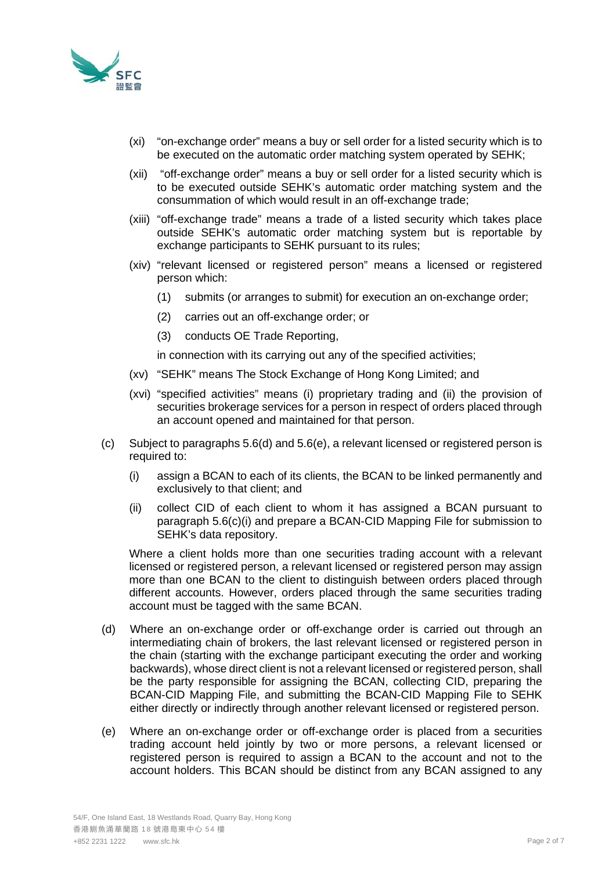

- (xi) "on-exchange order" means a buy or sell order for a listed security which is to be executed on the automatic order matching system operated by SEHK;
- (xii) "off-exchange order" means a buy or sell order for a listed security which is to be executed outside SEHK's automatic order matching system and the consummation of which would result in an off-exchange trade;
- (xiii) "off-exchange trade" means a trade of a listed security which takes place outside SEHK's automatic order matching system but is reportable by exchange participants to SEHK pursuant to its rules;
- (xiv) "relevant licensed or registered person" means a licensed or registered person which:
	- (1) submits (or arranges to submit) for execution an on-exchange order;
	- (2) carries out an off-exchange order; or
	- (3) conducts OE Trade Reporting,

in connection with its carrying out any of the specified activities;

- (xv) "SEHK" means The Stock Exchange of Hong Kong Limited; and
- (xvi) "specified activities" means (i) proprietary trading and (ii) the provision of securities brokerage services for a person in respect of orders placed through an account opened and maintained for that person.
- (c) Subject to paragraphs 5.6(d) and 5.6(e), a relevant licensed or registered person is required to:
	- (i) assign a BCAN to each of its clients, the BCAN to be linked permanently and exclusively to that client; and
	- (ii) collect CID of each client to whom it has assigned a BCAN pursuant to paragraph 5.6(c)(i) and prepare a BCAN-CID Mapping File for submission to SEHK's data repository.

Where a client holds more than one securities trading account with a relevant licensed or registered person, a relevant licensed or registered person may assign more than one BCAN to the client to distinguish between orders placed through different accounts. However, orders placed through the same securities trading account must be tagged with the same BCAN.

- (d) Where an on-exchange order or off-exchange order is carried out through an intermediating chain of brokers, the last relevant licensed or registered person in the chain (starting with the exchange participant executing the order and working backwards), whose direct client is not a relevant licensed or registered person, shall be the party responsible for assigning the BCAN, collecting CID, preparing the BCAN-CID Mapping File, and submitting the BCAN-CID Mapping File to SEHK either directly or indirectly through another relevant licensed or registered person.
- (e) Where an on-exchange order or off-exchange order is placed from a securities trading account held jointly by two or more persons, a relevant licensed or registered person is required to assign a BCAN to the account and not to the account holders. This BCAN should be distinct from any BCAN assigned to any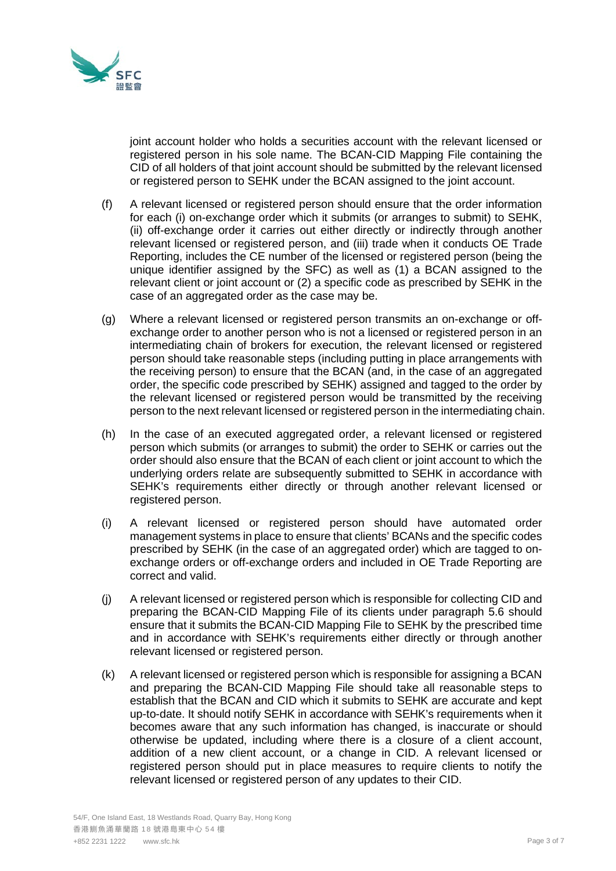

joint account holder who holds a securities account with the relevant licensed or registered person in his sole name. The BCAN-CID Mapping File containing the CID of all holders of that joint account should be submitted by the relevant licensed or registered person to SEHK under the BCAN assigned to the joint account.

- (f) A relevant licensed or registered person should ensure that the order information for each (i) on-exchange order which it submits (or arranges to submit) to SEHK, (ii) off-exchange order it carries out either directly or indirectly through another relevant licensed or registered person, and (iii) trade when it conducts OE Trade Reporting, includes the CE number of the licensed or registered person (being the unique identifier assigned by the SFC) as well as (1) a BCAN assigned to the relevant client or joint account or (2) a specific code as prescribed by SEHK in the case of an aggregated order as the case may be.
- (g) Where a relevant licensed or registered person transmits an on-exchange or offexchange order to another person who is not a licensed or registered person in an intermediating chain of brokers for execution, the relevant licensed or registered person should take reasonable steps (including putting in place arrangements with the receiving person) to ensure that the BCAN (and, in the case of an aggregated order, the specific code prescribed by SEHK) assigned and tagged to the order by the relevant licensed or registered person would be transmitted by the receiving person to the next relevant licensed or registered person in the intermediating chain.
- (h) In the case of an executed aggregated order, a relevant licensed or registered person which submits (or arranges to submit) the order to SEHK or carries out the order should also ensure that the BCAN of each client or joint account to which the underlying orders relate are subsequently submitted to SEHK in accordance with SEHK's requirements either directly or through another relevant licensed or registered person.
- (i) A relevant licensed or registered person should have automated order management systems in place to ensure that clients' BCANs and the specific codes prescribed by SEHK (in the case of an aggregated order) which are tagged to onexchange orders or off-exchange orders and included in OE Trade Reporting are correct and valid.
- (j) A relevant licensed or registered person which is responsible for collecting CID and preparing the BCAN-CID Mapping File of its clients under paragraph 5.6 should ensure that it submits the BCAN-CID Mapping File to SEHK by the prescribed time and in accordance with SEHK's requirements either directly or through another relevant licensed or registered person.
- (k) A relevant licensed or registered person which is responsible for assigning a BCAN and preparing the BCAN-CID Mapping File should take all reasonable steps to establish that the BCAN and CID which it submits to SEHK are accurate and kept up-to-date. It should notify SEHK in accordance with SEHK's requirements when it becomes aware that any such information has changed, is inaccurate or should otherwise be updated, including where there is a closure of a client account, addition of a new client account, or a change in CID. A relevant licensed or registered person should put in place measures to require clients to notify the relevant licensed or registered person of any updates to their CID.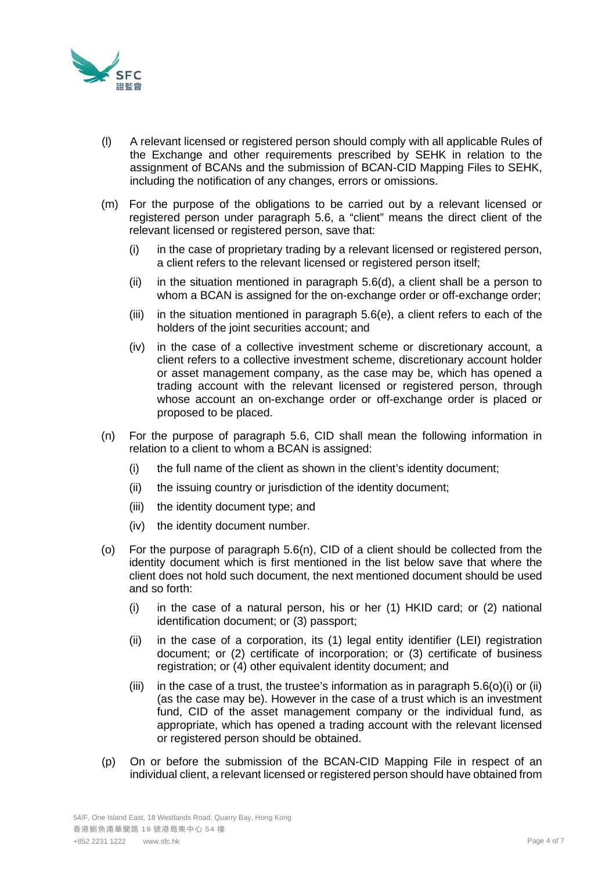

- (l) A relevant licensed or registered person should comply with all applicable Rules of the Exchange and other requirements prescribed by SEHK in relation to the assignment of BCANs and the submission of BCAN-CID Mapping Files to SEHK, including the notification of any changes, errors or omissions.
- (m) For the purpose of the obligations to be carried out by a relevant licensed or registered person under paragraph 5.6, a "client" means the direct client of the relevant licensed or registered person, save that:
	- (i) in the case of proprietary trading by a relevant licensed or registered person, a client refers to the relevant licensed or registered person itself;
	- (ii) in the situation mentioned in paragraph  $5.6(d)$ , a client shall be a person to whom a BCAN is assigned for the on-exchange order or off-exchange order;
	- (iii) in the situation mentioned in paragraph 5.6(e), a client refers to each of the holders of the joint securities account; and
	- (iv) in the case of a collective investment scheme or discretionary account, a client refers to a collective investment scheme, discretionary account holder or asset management company, as the case may be, which has opened a trading account with the relevant licensed or registered person, through whose account an on-exchange order or off-exchange order is placed or proposed to be placed.
- (n) For the purpose of paragraph 5.6, CID shall mean the following information in relation to a client to whom a BCAN is assigned:
	- (i) the full name of the client as shown in the client's identity document;
	- (ii) the issuing country or jurisdiction of the identity document;
	- (iii) the identity document type; and
	- (iv) the identity document number.
- (o) For the purpose of paragraph 5.6(n), CID of a client should be collected from the identity document which is first mentioned in the list below save that where the client does not hold such document, the next mentioned document should be used and so forth:
	- (i) in the case of a natural person, his or her (1) HKID card; or (2) national identification document; or (3) passport;
	- (ii) in the case of a corporation, its (1) legal entity identifier (LEI) registration document; or (2) certificate of incorporation; or (3) certificate of business registration; or (4) other equivalent identity document; and
	- (iii) in the case of a trust, the trustee's information as in paragraph  $5.6(0)(i)$  or (ii) (as the case may be). However in the case of a trust which is an investment fund, CID of the asset management company or the individual fund, as appropriate, which has opened a trading account with the relevant licensed or registered person should be obtained.
- (p) On or before the submission of the BCAN-CID Mapping File in respect of an individual client, a relevant licensed or registered person should have obtained from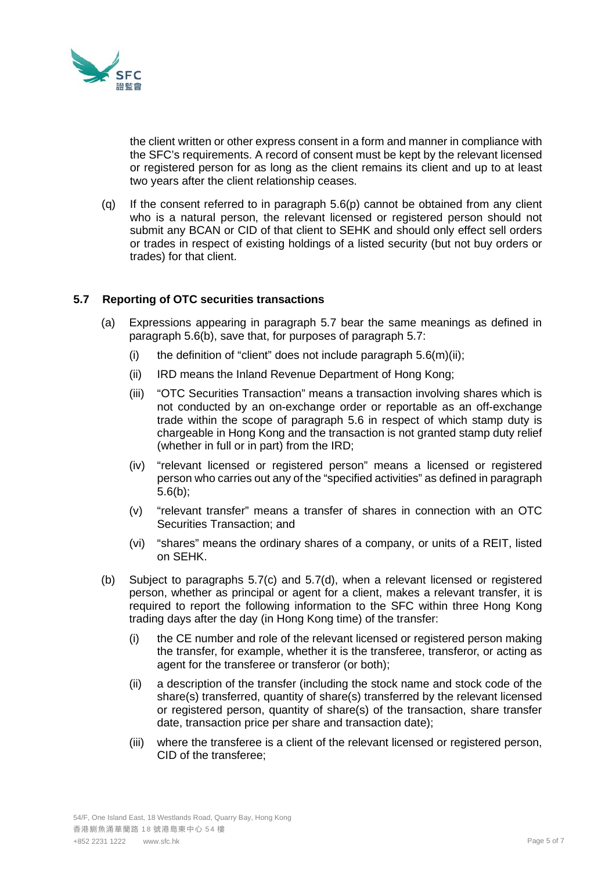

the client written or other express consent in a form and manner in compliance with the SFC's requirements. A record of consent must be kept by the relevant licensed or registered person for as long as the client remains its client and up to at least two years after the client relationship ceases.

(q) If the consent referred to in paragraph  $5.6(p)$  cannot be obtained from any client who is a natural person, the relevant licensed or registered person should not submit any BCAN or CID of that client to SEHK and should only effect sell orders or trades in respect of existing holdings of a listed security (but not buy orders or trades) for that client.

## **5.7 Reporting of OTC securities transactions**

- (a) Expressions appearing in paragraph 5.7 bear the same meanings as defined in paragraph 5.6(b), save that, for purposes of paragraph 5.7:
	- (i) the definition of "client" does not include paragraph  $5.6(m)(ii)$ ;
	- (ii) IRD means the Inland Revenue Department of Hong Kong;
	- (iii) "OTC Securities Transaction" means a transaction involving shares which is not conducted by an on-exchange order or reportable as an off-exchange trade within the scope of paragraph 5.6 in respect of which stamp duty is chargeable in Hong Kong and the transaction is not granted stamp duty relief (whether in full or in part) from the IRD;
	- (iv) "relevant licensed or registered person" means a licensed or registered person who carries out any of the "specified activities" as defined in paragraph 5.6(b);
	- (v) "relevant transfer" means a transfer of shares in connection with an OTC Securities Transaction; and
	- (vi) "shares" means the ordinary shares of a company, or units of a REIT, listed on SEHK.
- (b) Subject to paragraphs 5.7(c) and 5.7(d), when a relevant licensed or registered person, whether as principal or agent for a client, makes a relevant transfer, it is required to report the following information to the SFC within three Hong Kong trading days after the day (in Hong Kong time) of the transfer:
	- (i) the CE number and role of the relevant licensed or registered person making the transfer, for example, whether it is the transferee, transferor, or acting as agent for the transferee or transferor (or both);
	- (ii) a description of the transfer (including the stock name and stock code of the share(s) transferred, quantity of share(s) transferred by the relevant licensed or registered person, quantity of share(s) of the transaction, share transfer date, transaction price per share and transaction date);
	- (iii) where the transferee is a client of the relevant licensed or registered person, CID of the transferee;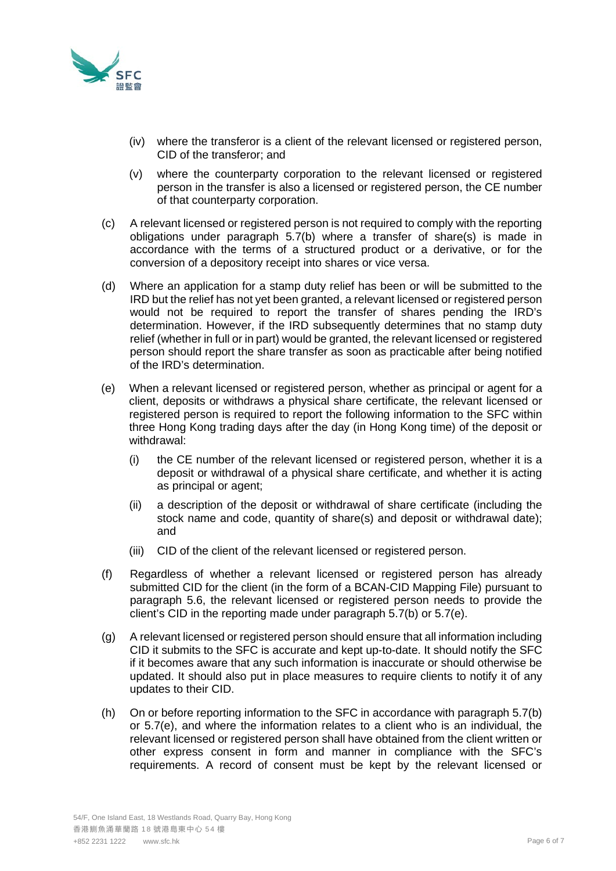

- (iv) where the transferor is a client of the relevant licensed or registered person, CID of the transferor; and
- (v) where the counterparty corporation to the relevant licensed or registered person in the transfer is also a licensed or registered person, the CE number of that counterparty corporation.
- (c) A relevant licensed or registered person is not required to comply with the reporting obligations under paragraph 5.7(b) where a transfer of share(s) is made in accordance with the terms of a structured product or a derivative, or for the conversion of a depository receipt into shares or vice versa.
- (d) Where an application for a stamp duty relief has been or will be submitted to the IRD but the relief has not yet been granted, a relevant licensed or registered person would not be required to report the transfer of shares pending the IRD's determination. However, if the IRD subsequently determines that no stamp duty relief (whether in full or in part) would be granted, the relevant licensed or registered person should report the share transfer as soon as practicable after being notified of the IRD's determination.
- (e) When a relevant licensed or registered person, whether as principal or agent for a client, deposits or withdraws a physical share certificate, the relevant licensed or registered person is required to report the following information to the SFC within three Hong Kong trading days after the day (in Hong Kong time) of the deposit or withdrawal:
	- (i) the CE number of the relevant licensed or registered person, whether it is a deposit or withdrawal of a physical share certificate, and whether it is acting as principal or agent;
	- (ii) a description of the deposit or withdrawal of share certificate (including the stock name and code, quantity of share(s) and deposit or withdrawal date); and
	- (iii) CID of the client of the relevant licensed or registered person.
- (f) Regardless of whether a relevant licensed or registered person has already submitted CID for the client (in the form of a BCAN-CID Mapping File) pursuant to paragraph 5.6, the relevant licensed or registered person needs to provide the client's CID in the reporting made under paragraph 5.7(b) or 5.7(e).
- (g) A relevant licensed or registered person should ensure that all information including CID it submits to the SFC is accurate and kept up-to-date. It should notify the SFC if it becomes aware that any such information is inaccurate or should otherwise be updated. It should also put in place measures to require clients to notify it of any updates to their CID.
- (h) On or before reporting information to the SFC in accordance with paragraph 5.7(b) or 5.7(e), and where the information relates to a client who is an individual, the relevant licensed or registered person shall have obtained from the client written or other express consent in form and manner in compliance with the SFC's requirements. A record of consent must be kept by the relevant licensed or